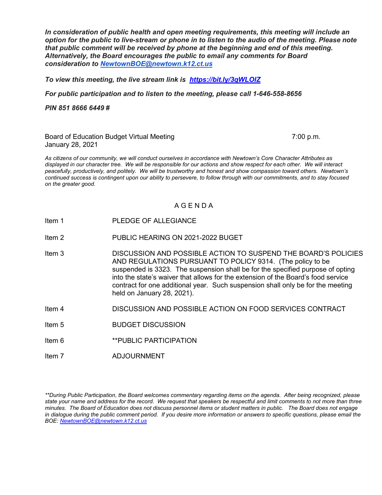*In consideration of public health and open meeting requirements, this meeting will include an option for the public to live-stream or phone in to listen to the audio of the meeting. Please note that public comment will be received by phone at the beginning and end of this meeting. Alternatively, the Board encourages the public to email any comments for Board consideration to [NewtownBOE@newtown.k12.ct.us](mailto:NewtownBOE@newtown.k12.ct.us)*

*To view this meeting, the live stream link is <https://bit.ly/3qWLOIZ>*

*For public participation and to listen to the meeting, please call 1-646-558-8656*

*PIN 851 8666 6449 #*

Board of Education Budget Virtual Meeting 7:00 p.m. January 28, 2021

*As citizens of our community, we will conduct ourselves in accordance with Newtown's Core Character Attributes as displayed in our character tree. We will be responsible for our actions and show respect for each other. We will interact peacefully, productively, and politely. We will be trustworthy and honest and show compassion toward others. Newtown's continued success is contingent upon our ability to persevere, to follow through with our commitments, and to stay focused on the greater good.*

## A G E N D A

- Item 1 PLEDGE OF ALLEGIANCE
- Item 2 PUBLIC HEARING ON 2021-2022 BUGET
- Item 3 DISCUSSION AND POSSIBLE ACTION TO SUSPEND THE BOARD'S POLICIES AND REGULATIONS PURSUANT TO POLICY 9314. (The policy to be suspended is 3323. The suspension shall be for the specified purpose of opting into the state's waiver that allows for the extension of the Board's food service contract for one additional year. Such suspension shall only be for the meeting held on January 28, 2021).
- Item 4 DISCUSSION AND POSSIBLE ACTION ON FOOD SERVICES CONTRACT
- Item 5 BUDGET DISCUSSION
- Item 6 **\*\*PUBLIC PARTICIPATION**
- Item 7 ADJOURNMENT

*\*\*During Public Participation, the Board welcomes commentary regarding items on the agenda. After being recognized, please state your name and address for the record. We request that speakers be respectful and limit comments to not more than three minutes. The Board of Education does not discuss personnel items or student matters in public. The Board does not engage in dialogue during the public comment period. If you desire more information or answers to specific questions, please email the BOE: [NewtownBOE@newtown.k12.ct.us](mailto:NewtownBOE@newtown.k12.ct.us)*